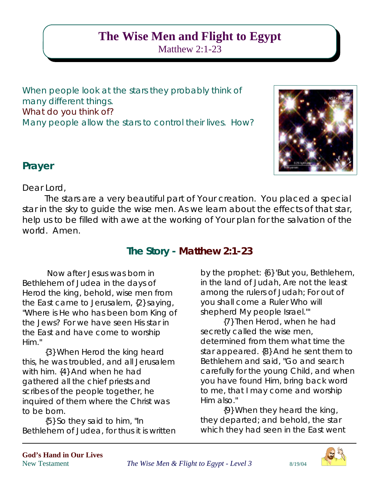# **The Wise Men and Flight to Egypt** Matthew 2:1-23

When people look at the stars they probably think of many different things. What do you think of? Many people allow the stars to control their lives. How?



### **Prayer**

Dear Lord,

The stars are a very beautiful part of Your creation. You placed a special star in the sky to guide the wise men. As we learn about the effects of that star, help us to be filled with awe at the working of Your plan for the salvation of the world. Amen.

# **The Story - Matthew 2:1-23**

Now after Jesus was born in Bethlehem of Judea in the days of Herod the king, behold, wise men from the East came to Jerusalem, {2} saying, "Where is He who has been born King of the Jews? For we have seen His star in the East and have come to worship Him."

{3} When Herod the king heard this, he was troubled, and all Jerusalem with him. {4} And when he had gathered all the chief priests and scribes of the people together, he inquired of them where the Christ was to be born.

{5} So they said to him, "In Bethlehem of Judea, for thus it is written

by the prophet: {6} 'But you, Bethlehem, in the land of Judah, Are not the least among the rulers of Judah; For out of you shall come a Ruler Who will shepherd My people Israel.'"

{7} Then Herod, when he had secretly called the wise men, determined from them what time the star appeared. {8} And he sent them to Bethlehem and said, "Go and search carefully for the young Child, and when you have found Him, bring back word to me, that I may come and worship Him also."

{9} When they heard the king, they departed; and behold, the star which they had seen in the East went

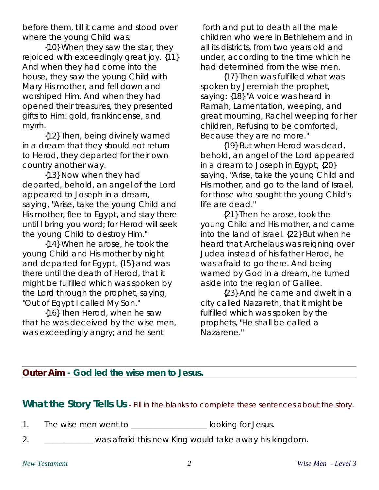before them, till it came and stood over where the young Child was.

{10} When they saw the star, they rejoiced with exceedingly great joy. {11} And when they had come into the house, they saw the young Child with Mary His mother, and fell down and worshiped Him. And when they had opened their treasures, they presented gifts to Him: gold, frankincense, and myrrh.

{12} Then, being divinely warned in a dream that they should not return to Herod, they departed for their own country another way.

{13} Now when they had departed, behold, an angel of the Lord appeared to Joseph in a dream, saying, "Arise, take the young Child and His mother, flee to Egypt, and stay there until I bring you word; for Herod will seek the young Child to destroy Him."

{14} When he arose, he took the young Child and His mother by night and departed for Egypt, {15} and was there until the death of Herod, that it might be fulfilled which was spoken by the Lord through the prophet, saying, "Out of Egypt I called My Son."

{16} Then Herod, when he saw that he was deceived by the wise men, was exceedingly angry; and he sent

 forth and put to death all the male children who were in Bethlehem and in all its districts, from two years old and under, according to the time which he had determined from the wise men.

{17} Then was fulfilled what was spoken by Jeremiah the prophet, saying: {18} "A voice was heard in Ramah, Lamentation, weeping, and great mourning, Rachel weeping for her children, Refusing to be comforted, Because they are no more."

{19} But when Herod was dead, behold, an angel of the Lord appeared in a dream to Joseph in Egypt, {20} saying, "Arise, take the young Child and His mother, and go to the land of Israel, for those who sought the young Child's life are dead."

{21} Then he arose, took the young Child and His mother, and came into the land of Israel. {22} But when he heard that Archelaus was reigning over Judea instead of his father Herod, he was afraid to go there. And being warned by God in a dream, he turned aside into the region of Galilee.

{23} And he came and dwelt in a city called Nazareth, that it might be fulfilled which was spoken by the prophets, "He shall be called a Nazarene."

#### **Outer Aim - God led the wise men to Jesus.**

**What the Story Tells Us** - Fill in the blanks to complete these sentences about the story.

1. The wise men went to \_\_\_\_\_\_\_\_\_\_\_\_\_\_\_\_\_\_\_\_ looking for Jesus.

2. \_\_\_\_\_\_\_\_\_\_\_\_ was afraid this new King would take away his kingdom.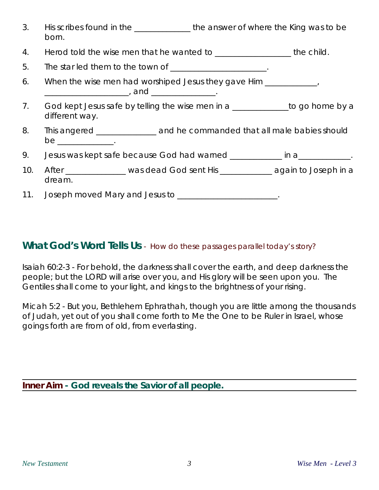- 3. His scribes found in the the answer of where the King was to be born.
- 4. Herod told the wise men that he wanted to **we are all that the child.**
- 5. The star led them to the town of \_\_\_\_\_\_\_\_\_\_\_\_\_\_\_\_\_\_\_\_\_.
- 6. When the wise men had worshiped Jesus they gave Him \_\_\_\_\_\_\_\_\_\_\_, \_\_\_\_\_\_\_\_\_\_\_\_\_\_\_\_\_\_\_\_\_\_, and \_\_\_\_\_\_\_\_\_\_\_\_\_\_\_\_\_\_\_\_.
- 7. God kept Jesus safe by telling the wise men in a \_\_\_\_\_\_\_\_\_\_\_\_to go home by a different way.
- 8. This angered \_\_\_\_\_\_\_\_\_\_\_\_\_\_ and he commanded that all male babies should  $be$   $\qquad \qquad$
- 9. Jesus was kept safe because God had warned \_\_\_\_\_\_\_\_\_\_ in a\_\_\_\_\_\_\_\_\_\_\_.
- 10. After \_\_\_\_\_\_\_\_\_\_\_\_\_\_\_ was dead God sent His \_\_\_\_\_\_\_\_\_\_\_\_\_ again to Joseph in a dream.
- 11. Joseph moved Mary and Jesus to \_\_\_\_\_\_\_\_\_\_\_\_\_\_\_\_\_\_\_\_\_\_\_\_.

### **What God's Word Tells Us** - How do these passages parallel today's story?

Isaiah 60:2-3 - For behold, the darkness shall cover the earth, and deep darkness the people; but the LORD will arise over you, and His glory will be seen upon you. The Gentiles shall come to your light, and kings to the brightness of your rising.

Micah 5:2 - But you, Bethlehem Ephrathah, though you are little among the thousands of Judah, yet out of you shall come forth to Me the One to be Ruler in Israel, whose goings forth are from of old, from everlasting.

**Inner Aim - God reveals the Savior of all people.**